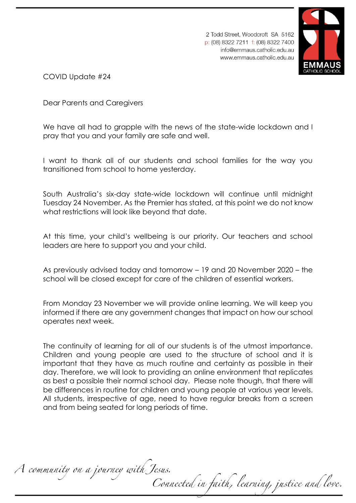



COVID Update #24

Dear Parents and Caregivers

We have all had to grapple with the news of the state-wide lockdown and I pray that you and your family are safe and well.

I want to thank all of our students and school families for the way you transitioned from school to home yesterday.

South Australia's six-day state-wide lockdown will continue until midnight Tuesday 24 November. As the Premier has stated, at this point we do not know what restrictions will look like beyond that date.

At this time, your child's wellbeing is our priority. Our teachers and school leaders are here to support you and your child.

As previously advised today and tomorrow – 19 and 20 November 2020 – the school will be closed except for care of the children of essential workers.

From Monday 23 November we will provide online learning. We will keep you informed if there are any government changes that impact on how our school operates next week.

The continuity of learning for all of our students is of the utmost importance. Children and young people are used to the structure of school and it is important that they have as much routine and certainty as possible in their day. Therefore, we will look to providing an online environment that replicates as best a possible their normal school day. Please note though, that there will be differences in routine for children and young people at various year levels. All students, irrespective of age, need to have regular breaks from a screen and from being seated for long periods of time.

A community on a journey with Jesus. Connected in faith, learning, justice and love.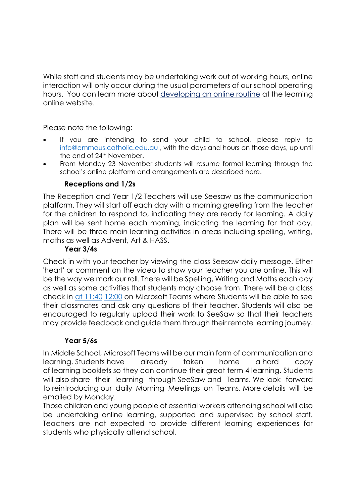While staff and students may be undertaking work out of working hours, online interaction will only occur during the usual parameters of our school operating hours. You can learn more about [developing an online routine](https://www.cesa.catholic.edu.au/learning-online/information-for-families/routines-for-learning-online) at the learning online website.

Please note the following:

- If you are intending to send your child to school, please reply to [info@emmaus.catholic.edu.au](mailto:info@emmaus.catholic.edu.au) , with the days and hours on those days, up until the end of 24<sup>th</sup> November.
- From Monday 23 November students will resume formal learning through the school's online platform and arrangements are described here.

## **Receptions and 1/2s**

The Reception and Year 1/2 Teachers will use Seesaw as the communication platform. They will start off each day with a morning greeting from the teacher for the children to respond to, indicating they are ready for learning. A daily plan will be sent home each morning, indicating the learning for that day. There will be three main learning activities in areas including spelling, writing, maths as well as Advent, Art & HASS.

## **Year 3/4s**

Check in with your teacher by viewing the class Seesaw daily message. Ether 'heart' or comment on the video to show your teacher you are online. This will be the way we mark our roll. There will be Spelling, Writing and Maths each day as well as some activities that students may choose from. There will be a class check in [at 11:40](outlook-data-detector://0/) [12:00](outlook-data-detector://1/) on Microsoft Teams where Students will be able to see their classmates and ask any questions of their teacher. Students will also be encouraged to regularly upload their work to SeeSaw so that their teachers may provide feedback and guide them through their remote learning journey.

## **Year 5/6s**

In Middle School, Microsoft Teams will be our main form of communication and learning. Students have already taken home a hard copy of learning booklets so they can continue their great term 4 learning. Students will also share their learning through SeeSaw and Teams. We look forward to reintroducing our daily Morning Meetings on Teams. More details will be emailed by Monday.

Those children and young people of essential workers attending school will also be undertaking online learning, supported and supervised by school staff. Teachers are not expected to provide different learning experiences for students who physically attend school.